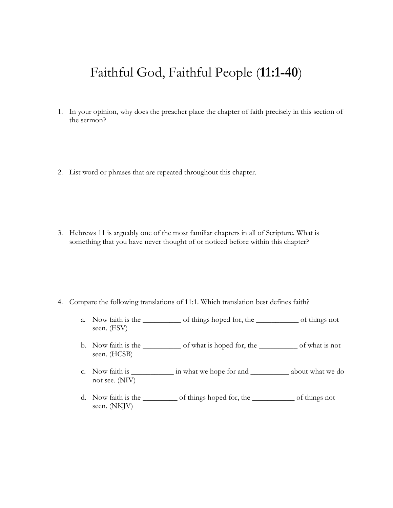## Faithful God, Faithful People (**11:1-40**)

- 1. In your opinion, why does the preacher place the chapter of faith precisely in this section of the sermon?
- 2. List word or phrases that are repeated throughout this chapter.

3. Hebrews 11 is arguably one of the most familiar chapters in all of Scripture. What is something that you have never thought of or noticed before within this chapter?

- 4. Compare the following translations of 11:1. Which translation best defines faith?
	- a. Now faith is the \_\_\_\_\_\_\_\_\_\_ of things hoped for, the \_\_\_\_\_\_\_\_\_\_\_ of things not seen. (ESV)
	- b. Now faith is the \_\_\_\_\_\_\_\_\_\_ of what is hoped for, the \_\_\_\_\_\_\_\_\_\_ of what is not seen. (HCSB)
	- c. Now faith is \_\_\_\_\_\_\_\_\_\_\_ in what we hope for and \_\_\_\_\_\_\_\_\_\_ about what we do not see. (NIV)
	- d. Now faith is the \_\_\_\_\_\_\_\_\_ of things hoped for, the \_\_\_\_\_\_\_\_\_\_\_ of things not seen. (NKJV)